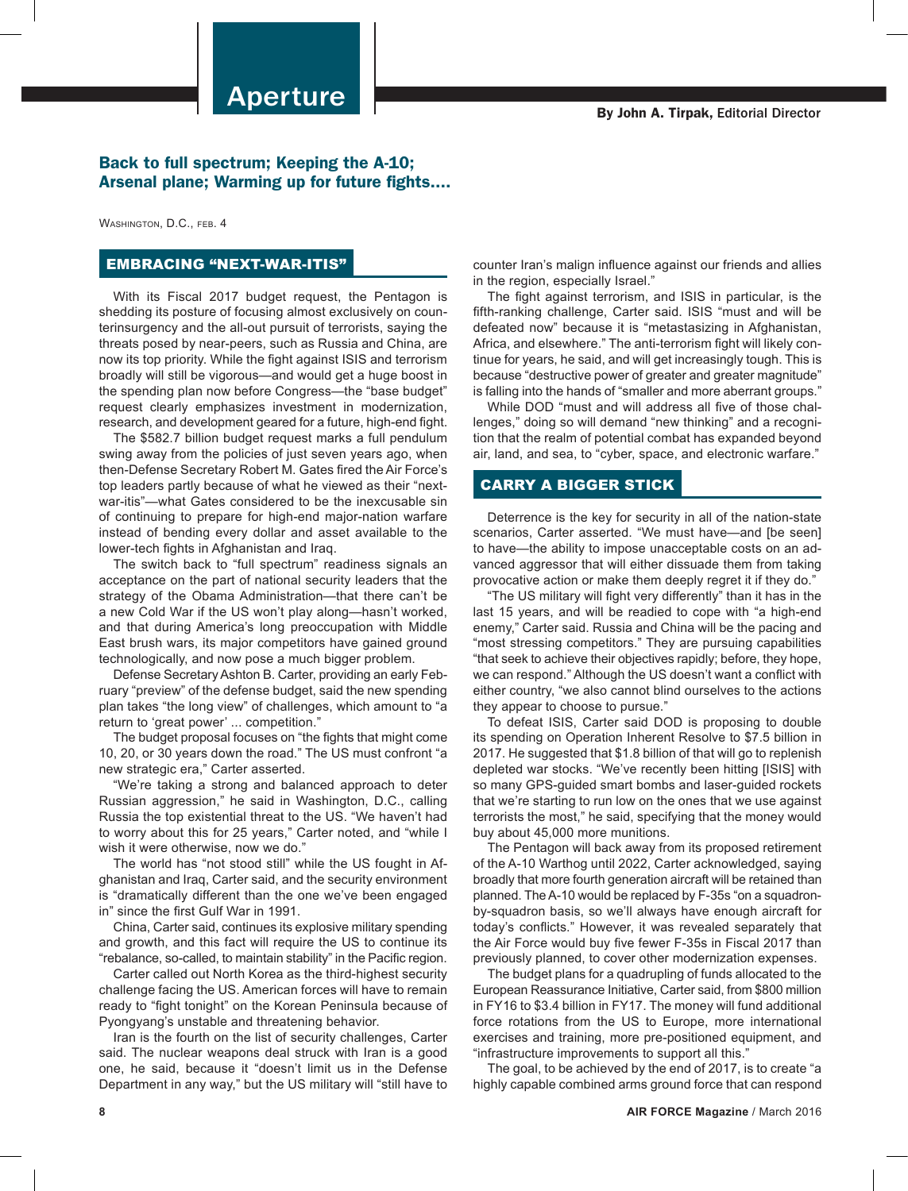## Back to full spectrum; Keeping the A-10; Arsenal plane; Warming up for future fights....

WASHINGTON, D.C., FEB. 4

# EMBRACING "NEXT-WAR-ITIS"

With its Fiscal 2017 budget request, the Pentagon is shedding its posture of focusing almost exclusively on counterinsurgency and the all-out pursuit of terrorists, saying the threats posed by near-peers, such as Russia and China, are now its top priority. While the fight against ISIS and terrorism broadly will still be vigorous—and would get a huge boost in the spending plan now before Congress—the "base budget" request clearly emphasizes investment in modernization, research, and development geared for a future, high-end fight.

The \$582.7 billion budget request marks a full pendulum swing away from the policies of just seven years ago, when then-Defense Secretary Robert M. Gates fired the Air Force's top leaders partly because of what he viewed as their "nextwar-itis"—what Gates considered to be the inexcusable sin of continuing to prepare for high-end major-nation warfare instead of bending every dollar and asset available to the lower-tech fights in Afghanistan and Iraq.

The switch back to "full spectrum" readiness signals an acceptance on the part of national security leaders that the strategy of the Obama Administration—that there can't be a new Cold War if the US won't play along—hasn't worked, and that during America's long preoccupation with Middle East brush wars, its major competitors have gained ground technologically, and now pose a much bigger problem.

Defense Secretary Ashton B. Carter, providing an early February "preview" of the defense budget, said the new spending plan takes "the long view" of challenges, which amount to "a return to 'great power' ... competition."

The budget proposal focuses on "the fights that might come 10, 20, or 30 years down the road." The US must confront "a new strategic era," Carter asserted.

"We're taking a strong and balanced approach to deter Russian aggression," he said in Washington, D.C., calling Russia the top existential threat to the US. "We haven't had to worry about this for 25 years," Carter noted, and "while I wish it were otherwise, now we do."

The world has "not stood still" while the US fought in Afghanistan and Iraq, Carter said, and the security environment is "dramatically different than the one we've been engaged in" since the first Gulf War in 1991.

China, Carter said, continues its explosive military spending and growth, and this fact will require the US to continue its "rebalance, so-called, to maintain stability" in the Pacific region.

Carter called out North Korea as the third-highest security challenge facing the US. American forces will have to remain ready to "fight tonight" on the Korean Peninsula because of Pyongyang's unstable and threatening behavior.

Iran is the fourth on the list of security challenges, Carter said. The nuclear weapons deal struck with Iran is a good one, he said, because it "doesn't limit us in the Defense Department in any way," but the US military will "still have to

counter Iran's malign influence against our friends and allies in the region, especially Israel."

The fight against terrorism, and ISIS in particular, is the fifth-ranking challenge, Carter said. ISIS "must and will be defeated now" because it is "metastasizing in Afghanistan, Africa, and elsewhere." The anti-terrorism fight will likely continue for years, he said, and will get increasingly tough. This is because "destructive power of greater and greater magnitude" is falling into the hands of "smaller and more aberrant groups."

While DOD "must and will address all five of those challenges," doing so will demand "new thinking" and a recognition that the realm of potential combat has expanded beyond air, land, and sea, to "cyber, space, and electronic warfare."

#### CARRY A BIGGER STICK

Deterrence is the key for security in all of the nation-state scenarios, Carter asserted. "We must have—and [be seen] to have—the ability to impose unacceptable costs on an advanced aggressor that will either dissuade them from taking provocative action or make them deeply regret it if they do."

"The US military will fight very differently" than it has in the last 15 years, and will be readied to cope with "a high-end enemy," Carter said. Russia and China will be the pacing and "most stressing competitors." They are pursuing capabilities "that seek to achieve their objectives rapidly; before, they hope, we can respond." Although the US doesn't want a conflict with either country, "we also cannot blind ourselves to the actions they appear to choose to pursue."

To defeat ISIS, Carter said DOD is proposing to double its spending on Operation Inherent Resolve to \$7.5 billion in 2017. He suggested that \$1.8 billion of that will go to replenish depleted war stocks. "We've recently been hitting [ISIS] with so many GPS-guided smart bombs and laser-guided rockets that we're starting to run low on the ones that we use against terrorists the most," he said, specifying that the money would buy about 45,000 more munitions.

The Pentagon will back away from its proposed retirement of the A-10 Warthog until 2022, Carter acknowledged, saying broadly that more fourth generation aircraft will be retained than planned. The A-10 would be replaced by F-35s "on a squadronby-squadron basis, so we'll always have enough aircraft for today's conflicts." However, it was revealed separately that the Air Force would buy five fewer F-35s in Fiscal 2017 than previously planned, to cover other modernization expenses.

The budget plans for a quadrupling of funds allocated to the European Reassurance Initiative, Carter said, from \$800 million in FY16 to \$3.4 billion in FY17. The money will fund additional force rotations from the US to Europe, more international exercises and training, more pre-positioned equipment, and "infrastructure improvements to support all this."

The goal, to be achieved by the end of 2017, is to create "a highly capable combined arms ground force that can respond